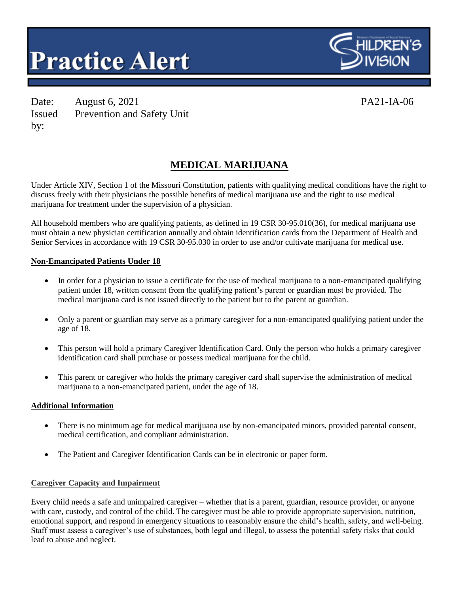



Date: August 6, 2021 PA21-IA-06 Issued by: Prevention and Safety Unit

# **MEDICAL MARIJUANA**

Under Article XIV, Section 1 of the Missouri Constitution, patients with qualifying medical conditions have the right to discuss freely with their physicians the possible benefits of medical marijuana use and the right to use medical marijuana for treatment under the supervision of a physician.

All household members who are qualifying patients, as defined in 19 CSR 30-95.010(36), for medical marijuana use must obtain a new physician certification annually and obtain identification cards from the Department of Health and Senior Services in accordance with 19 CSR 30-95.030 in order to use and/or cultivate marijuana for medical use.

#### **Non-Emancipated Patients Under 18**

- In order for a physician to issue a certificate for the use of medical marijuana to a non-emancipated qualifying patient under 18, written consent from the qualifying patient's parent or guardian must be provided. The medical marijuana card is not issued directly to the patient but to the parent or guardian.
- Only a parent or guardian may serve as a primary caregiver for a non-emancipated qualifying patient under the age of 18.
- This person will hold a primary Caregiver Identification Card. Only the person who holds a primary caregiver identification card shall purchase or possess medical marijuana for the child.
- This parent or caregiver who holds the primary caregiver card shall supervise the administration of medical marijuana to a non-emancipated patient, under the age of 18.

#### **Additional Information**

- There is no minimum age for medical marijuana use by non-emancipated minors, provided parental consent, medical certification, and compliant administration.
- The Patient and Caregiver Identification Cards can be in electronic or paper form.

#### **Caregiver Capacity and Impairment**

Every child needs a safe and unimpaired caregiver – whether that is a parent, guardian, resource provider, or anyone with care, custody, and control of the child. The caregiver must be able to provide appropriate supervision, nutrition, emotional support, and respond in emergency situations to reasonably ensure the child's health, safety, and well-being. Staff must assess a caregiver's use of substances, both legal and illegal, to assess the potential safety risks that could lead to abuse and neglect.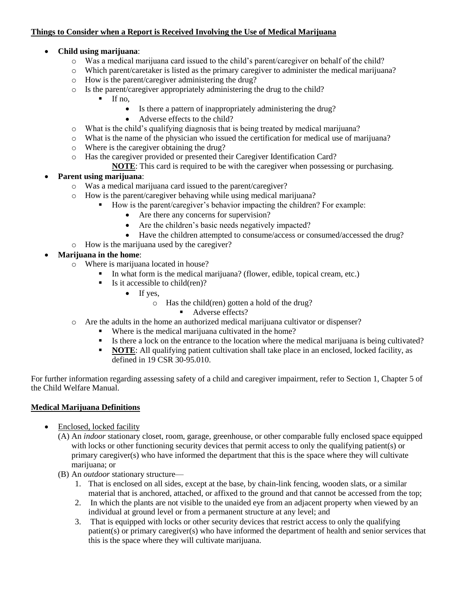## **Things to Consider when a Report is Received Involving the Use of Medical Marijuana**

## **Child using marijuana**:

- o Was a medical marijuana card issued to the child's parent/caregiver on behalf of the child?
- o Which parent/caretaker is listed as the primary caregiver to administer the medical marijuana?
- o How is the parent/caregiver administering the drug?
- o Is the parent/caregiver appropriately administering the drug to the child?
	- $\blacksquare$  If no,
		- Is there a pattern of inappropriately administering the drug?
		- Adverse effects to the child?
- o What is the child's qualifying diagnosis that is being treated by medical marijuana?
- o What is the name of the physician who issued the certification for medical use of marijuana?
- o Where is the caregiver obtaining the drug?
- o Has the caregiver provided or presented their Caregiver Identification Card?
	- **NOTE**: This card is required to be with the caregiver when possessing or purchasing.

## **Parent using marijuana**:

- o Was a medical marijuana card issued to the parent/caregiver?
- o How is the parent/caregiver behaving while using medical marijuana?
	- How is the parent/caregiver's behavior impacting the children? For example:
		- Are there any concerns for supervision?
		- Are the children's basic needs negatively impacted?
		- Have the children attempted to consume/access or consumed/accessed the drug?
- o How is the marijuana used by the caregiver?

## **Marijuana in the home**:

- o Where is marijuana located in house?
	- In what form is the medical marijuana? (flower, edible, topical cream, etc.)
	- $\blacksquare$  Is it accessible to child(ren)?
		- $\bullet$  If yes,
			- o Has the child(ren) gotten a hold of the drug?
				- Adverse effects?
- o Are the adults in the home an authorized medical marijuana cultivator or dispenser?
	- Where is the medical marijuana cultivated in the home?
	- Is there a lock on the entrance to the location where the medical marijuana is being cultivated?
		- **NOTE:** All qualifying patient cultivation shall take place in an enclosed, locked facility, as defined in 19 CSR 30-95.010.

For further information regarding assessing safety of a child and caregiver impairment, refer to Section 1, Chapter 5 of the Child Welfare Manual.

#### **Medical Marijuana Definitions**

- Enclosed, locked facility
	- (A) An *indoor* stationary closet, room, garage, greenhouse, or other comparable fully enclosed space equipped with locks or other functioning security devices that permit access to only the qualifying patient(s) or primary caregiver(s) who have informed the department that this is the space where they will cultivate marijuana; or
	- (B) An *outdoor* stationary structure—
		- 1. That is enclosed on all sides, except at the base, by chain-link fencing, wooden slats, or a similar material that is anchored, attached, or affixed to the ground and that cannot be accessed from the top;
		- 2. In which the plants are not visible to the unaided eye from an adjacent property when viewed by an individual at ground level or from a permanent structure at any level; and
		- 3. That is equipped with locks or other security devices that restrict access to only the qualifying patient(s) or primary caregiver(s) who have informed the department of health and senior services that this is the space where they will cultivate marijuana.